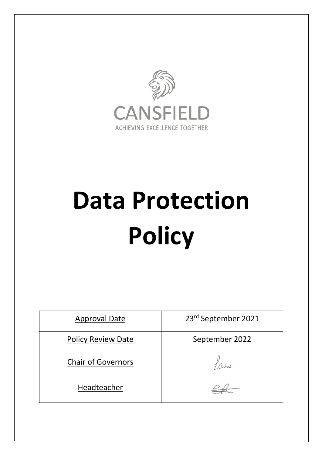

# **Data Protection Policy**

| <b>Approval Date</b>      | 23rd September 2021 |
|---------------------------|---------------------|
| <b>Policy Review Date</b> | September 2022      |
| <b>Chair of Governors</b> |                     |
| Headteacher               |                     |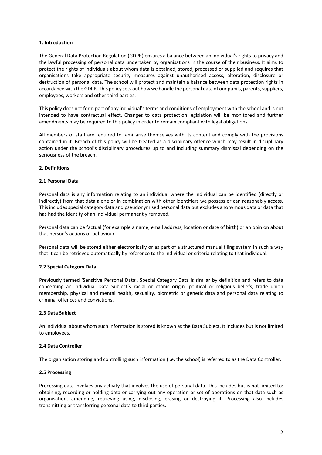#### **1. Introduction**

The General Data Protection Regulation (GDPR) ensures a balance between an individual's rights to privacy and the lawful processing of personal data undertaken by organisations in the course of their business. It aims to protect the rights of individuals about whom data is obtained, stored, processed or supplied and requires that organisations take appropriate security measures against unauthorised access, alteration, disclosure or destruction of personal data. The school will protect and maintain a balance between data protection rights in accordance with the GDPR. This policy sets out how we handle the personal data of our pupils, parents, suppliers, employees, workers and other third parties.

This policy does not form part of any individual's terms and conditions of employment with the school and is not intended to have contractual effect. Changes to data protection legislation will be monitored and further amendments may be required to this policy in order to remain compliant with legal obligations.

All members of staff are required to familiarise themselves with its content and comply with the provisions contained in it. Breach of this policy will be treated as a disciplinary offence which may result in disciplinary action under the school's disciplinary procedures up to and including summary dismissal depending on the seriousness of the breach.

# **2. Definitions**

# **2.1 Personal Data**

Personal data is any information relating to an individual where the individual can be identified (directly or indirectly) from that data alone or in combination with other identifiers we possess or can reasonably access. This includes special category data and pseudonymised personal data but excludes anonymous data or data that has had the identity of an individual permanently removed.

Personal data can be factual (for example a name, email address, location or date of birth) or an opinion about that person's actions or behaviour.

Personal data will be stored either electronically or as part of a structured manual filing system in such a way that it can be retrieved automatically by reference to the individual or criteria relating to that individual.

# **2.2 Special Category Data**

Previously termed 'Sensitive Personal Data', Special Category Data is similar by definition and refers to data concerning an individual Data Subject's racial or ethnic origin, political or religious beliefs, trade union membership, physical and mental health, sexuality, biometric or genetic data and personal data relating to criminal offences and convictions.

#### **2.3 Data Subject**

An individual about whom such information is stored is known as the Data Subject. It includes but is not limited to employees.

#### **2.4 Data Controller**

The organisation storing and controlling such information (i.e. the school) is referred to as the Data Controller.

#### **2.5 Processing**

Processing data involves any activity that involves the use of personal data. This includes but is not limited to: obtaining, recording or holding data or carrying out any operation or set of operations on that data such as organisation, amending, retrieving using, disclosing, erasing or destroying it. Processing also includes transmitting or transferring personal data to third parties.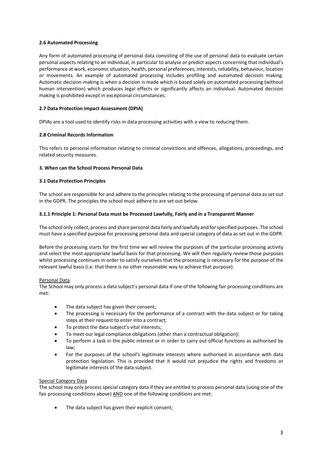# **2.6 Automated Processing**

Any form of automated processing of personal data consisting of the use of personal data to evaluate certain personal aspects relating to an individual, in particular to analyse or predict aspects concerning that individual's performance at work, economic situation, health, personal preferences, interests, reliability, behaviour, location or movements. An example of automated processing includes profiling and automated decision making. Automatic decision-making is when a decision is made which is based solely on automated processing (without human intervention) which produces legal effects or significantly affects an individual. Automated decision making is prohibited except in exceptional circumstances.

# **2.7 Data Protection Impact Assessment (DPIA)**

DPIAs are a tool used to identify risks in data processing activities with a view to reducing them.

# **2.8 Criminal Records Information**

This refers to personal information relating to criminal convictions and offences, allegations, proceedings, and related security measures.

# **3. When can the School Process Personal Data**

# **3.1 Data Protection Principles**

The school are responsible for and adhere to the principles relating to the processing of personal data as set out in the GDPR. The principles the school must adhere to are set out below.

# **3.1.1 Principle 1: Personal Data must be Processed Lawfully, Fairly and in a Transparent Manner**

The school only collect, process and share personal data fairly and lawfully and for specified purposes. The school must have a specified purpose for processing personal data and special category of data as set out in the GDPR.

Before the processing starts for the first time we will review the purposes of the particular processing activity and select the most appropriate lawful basis for that processing. We will then regularly review those purposes whilst processing continues in order to satisfy ourselves that the processing is necessary for the purpose of the relevant lawful basis (i.e. that there is no other reasonable way to achieve that purpose).

#### Personal Data

The School may only process a data subject's personal data if one of the following fair processing conditions are met:

- The data subject has given their consent;
- The processing is necessary for the performance of a contract with the data subject or for taking steps at their request to enter into a contract;
- To protect the data subject's vital interests;
- To meet our legal compliance obligations (other than a contractual obligation);
- To perform a task in the public interest or in order to carry out official functions as authorised by law;
- For the purposes of the school's legitimate interests where authorised in accordance with data protection legislation. This is provided that it would not prejudice the rights and freedoms or legitimate interests of the data subject.

#### Special Category Data

The school may only process special category data if they are entitled to process personal data (using one of the fair processing conditions above) AND one of the following conditions are met:

The data subject has given their explicit consent;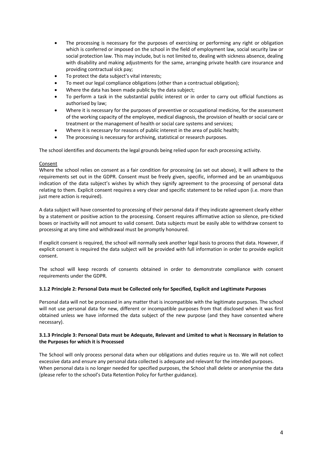- The processing is necessary for the purposes of exercising or performing any right or obligation which is conferred or imposed on the school in the field of employment law, social security law or social protection law. This may include, but is not limited to, dealing with sickness absence, dealing with disability and making adjustments for the same, arranging private health care insurance and providing contractual sick pay;
- To protect the data subject's vital interests;
- To meet our legal compliance obligations (other than a contractual obligation);
- Where the data has been made public by the data subject;
- To perform a task in the substantial public interest or in order to carry out official functions as authorised by law;
- Where it is necessary for the purposes of preventive or occupational medicine, for the assessment of the working capacity of the employee, medical diagnosis, the provision of health or social care or treatment or the management of health or social care systems and services;
- Where it is necessary for reasons of public interest in the area of public health;
- The processing is necessary for archiving, statistical or research purposes.

The school identifies and documents the legal grounds being relied upon for each processing activity.

#### Consent

Where the school relies on consent as a fair condition for processing (as set out above), it will adhere to the requirements set out in the GDPR. Consent must be freely given, specific, informed and be an unambiguous indication of the data subject's wishes by which they signify agreement to the processing of personal data relating to them. Explicit consent requires a very clear and specific statement to be relied upon (i.e. more than just mere action is required).

A data subject will have consented to processing of their personal data if they indicate agreement clearly either by a statement or positive action to the processing. Consent requires affirmative action so silence, pre-ticked boxes or inactivity will not amount to valid consent. Data subjects must be easily able to withdraw consent to processing at any time and withdrawal must be promptly honoured.

If explicit consent is required, the school will normally seek another legal basis to process that data. However, if explicit consent is required the data subject will be provided with full information in order to provide explicit consent.

The school will keep records of consents obtained in order to demonstrate compliance with consent requirements under the GDPR.

#### **3.1.2 Principle 2: Personal Data must be Collected only for Specified, Explicit and Legitimate Purposes**

Personal data will not be processed in any matter that is incompatible with the legitimate purposes. The school will not use personal data for new, different or incompatible purposes from that disclosed when it was first obtained unless we have informed the data subject of the new purpose (and they have consented where necessary).

#### **3.1.3 Principle 3: Personal Data must be Adequate, Relevant and Limited to what is Necessary in Relation to the Purposes for which it is Processed**

The School will only process personal data when our obligations and duties require us to. We will not collect excessive data and ensure any personal data collected is adequate and relevant for the intended purposes. When personal data is no longer needed for specified purposes, the School shall delete or anonymise the data (please refer to the school's Data Retention Policy for further guidance).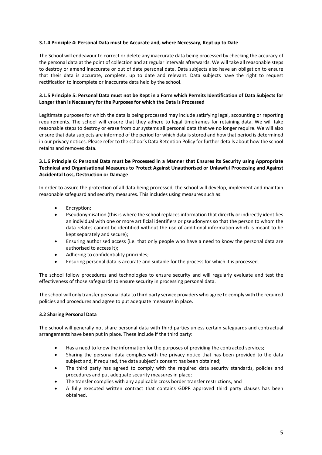#### **3.1.4 Principle 4: Personal Data must be Accurate and, where Necessary, Kept up to Date**

The School will endeavour to correct or delete any inaccurate data being processed by checking the accuracy of the personal data at the point of collection and at regular intervals afterwards. We will take all reasonable steps to destroy or amend inaccurate or out of date personal data. Data subjects also have an obligation to ensure that their data is accurate, complete, up to date and relevant. Data subjects have the right to request rectification to incomplete or inaccurate data held by the school.

# **3.1.5 Principle 5: Personal Data must not be Kept in a Form which Permits Identification of Data Subjects for Longer than is Necessary for the Purposes for which the Data is Processed**

Legitimate purposes for which the data is being processed may include satisfying legal, accounting or reporting requirements. The school will ensure that they adhere to legal timeframes for retaining data. We will take reasonable steps to destroy or erase from our systems all personal data that we no longer require. We will also ensure that data subjects are informed of the period for which data is stored and how that period is determined in our privacy notices. Please refer to the school's Data Retention Policy for further details about how the school retains and removes data.

# **3.1.6 Principle 6: Personal Data must be Processed in a Manner that Ensures its Security using Appropriate Technical and Organisational Measures to Protect Against Unauthorised or Unlawful Processing and Against Accidental Loss, Destruction or Damage**

In order to assure the protection of all data being processed, the school will develop, implement and maintain reasonable safeguard and security measures. This includes using measures such as:

- Encryption;
- Pseudonymisation (this is where the school replaces information that directly or indirectly identifies an individual with one or more artificial identifiers or pseudonyms so that the person to whom the data relates cannot be identified without the use of additional information which is meant to be kept separately and secure);
- Ensuring authorised access (i.e. that only people who have a need to know the personal data are authorised to access it);
- Adhering to confidentiality principles;
- Ensuring personal data is accurate and suitable for the process for which it is processed.

The school follow procedures and technologies to ensure security and will regularly evaluate and test the effectiveness of those safeguards to ensure security in processing personal data.

The school will only transfer personal data to third party service providers who agree to comply with the required policies and procedures and agree to put adequate measures in place.

# **3.2 Sharing Personal Data**

The school will generally not share personal data with third parties unless certain safeguards and contractual arrangements have been put in place. These include if the third party:

- Has a need to know the information for the purposes of providing the contracted services;
- Sharing the personal data complies with the privacy notice that has been provided to the data subject and, if required, the data subject's consent has been obtained;
- The third party has agreed to comply with the required data security standards, policies and procedures and put adequate security measures in place;
- The transfer complies with any applicable cross border transfer restrictions; and
- A fully executed written contract that contains GDPR approved third party clauses has been obtained.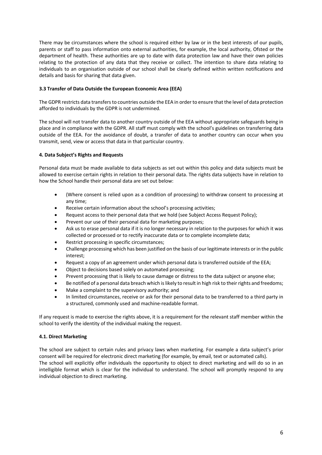There may be circumstances where the school is required either by law or in the best interests of our pupils, parents or staff to pass information onto external authorities, for example, the local authority, Ofsted or the department of health. These authorities are up to date with data protection law and have their own policies relating to the protection of any data that they receive or collect. The intention to share data relating to individuals to an organisation outside of our school shall be clearly defined within written notifications and details and basis for sharing that data given.

# **3.3 Transfer of Data Outside the European Economic Area (EEA)**

The GDPR restricts data transfers to countries outside the EEA in order to ensure that the level of data protection afforded to individuals by the GDPR is not undermined.

The school will not transfer data to another country outside of the EEA without appropriate safeguards being in place and in compliance with the GDPR. All staff must comply with the school's guidelines on transferring data outside of the EEA. For the avoidance of doubt, a transfer of data to another country can occur when you transmit, send, view or access that data in that particular country.

# **4. Data Subject's Rights and Requests**

Personal data must be made available to data subjects as set out within this policy and data subjects must be allowed to exercise certain rights in relation to their personal data. The rights data subjects have in relation to how the School handle their personal data are set out below:

- (Where consent is relied upon as a condition of processing) to withdraw consent to processing at any time;
- Receive certain information about the school's processing activities;
- Request access to their personal data that we hold (see Subject Access Request Policy);
- Prevent our use of their personal data for marketing purposes;
- Ask us to erase personal data if it is no longer necessary in relation to the purposes for which it was collected or processed or to rectify inaccurate data or to complete incomplete data;
- Restrict processing in specific circumstances;
- Challenge processing which has been justified on the basis of our legitimate interests or in the public interest;
- Request a copy of an agreement under which personal data is transferred outside of the EEA;
- Object to decisions based solely on automated processing;
- Prevent processing that is likely to cause damage or distress to the data subject or anyone else;
- Be notified of a personal data breach which is likely to result in high risk to their rights and freedoms;
- Make a complaint to the supervisory authority; and
- In limited circumstances, receive or ask for their personal data to be transferred to a third party in a structured, commonly used and machine-readable format.

If any request is made to exercise the rights above, it is a requirement for the relevant staff member within the school to verify the identity of the individual making the request.

#### **4.1. Direct Marketing**

The school are subject to certain rules and privacy laws when marketing. For example a data subject's prior consent will be required for electronic direct marketing (for example, by email, text or automated calls). The school will explicitly offer individuals the opportunity to object to direct marketing and will do so in an intelligible format which is clear for the individual to understand. The school will promptly respond to any individual objection to direct marketing.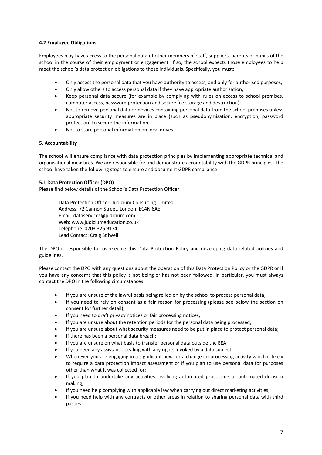# **4.2 Employee Obligations**

Employees may have access to the personal data of other members of staff, suppliers, parents or pupils of the school in the course of their employment or engagement. If so, the school expects those employees to help meet the school's data protection obligations to those individuals. Specifically, you must:

- Only access the personal data that you have authority to access, and only for authorised purposes;
- Only allow others to access personal data if they have appropriate authorisation;
- Keep personal data secure (for example by complying with rules on access to school premises, computer access, password protection and secure file storage and destruction);
- Not to remove personal data or devices containing personal data from the school premises unless appropriate security measures are in place (such as pseudonymisation, encryption, password protection) to secure the information;
- Not to store personal information on local drives.

#### **5. Accountability**

The school will ensure compliance with data protection principles by implementing appropriate technical and organisational measures. We are responsible for and demonstrate accountability with the GDPR principles. The school have taken the following steps to ensure and document GDPR compliance:

#### **5.1 Data Protection Officer (DPO)**

Please find below details of the School's Data Protection Officer:

Data Protection Officer: Judicium Consulting Limited Address: 72 Cannon Street, London, EC4N 6AE Email: dataservices@judicium.com Web: www.judiciumeducation.co.uk Telephone: 0203 326 9174 Lead Contact: Craig Stilwell

The DPO is responsible for overseeing this Data Protection Policy and developing data-related policies and guidelines.

Please contact the DPO with any questions about the operation of this Data Protection Policy or the GDPR or if you have any concerns that this policy is not being or has not been followed. In particular, you must always contact the DPO in the following circumstances:

- If you are unsure of the lawful basis being relied on by the school to process personal data;
- If you need to rely on consent as a fair reason for processing (please see below the section on consent for further detail);
- If you need to draft privacy notices or fair processing notices;
- If you are unsure about the retention periods for the personal data being processed;
- If you are unsure about what security measures need to be put in place to protect personal data;
- If there has been a personal data breach;
- If you are unsure on what basis to transfer personal data outside the EEA;
- If you need any assistance dealing with any rights invoked by a data subject;
- Whenever you are engaging in a significant new (or a change in) processing activity which is likely to require a data protection impact assessment or if you plan to use personal data for purposes other than what it was collected for;
- If you plan to undertake any activities involving automated processing or automated decision making;
- If you need help complying with applicable law when carrying out direct marketing activities;
- If you need help with any contracts or other areas in relation to sharing personal data with third parties.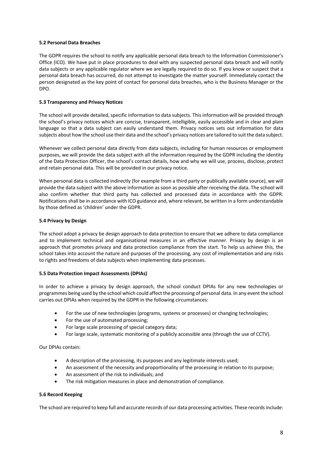#### **5.2 Personal Data Breaches**

The GDPR requires the school to notify any applicable personal data breach to the Information Commissioner's Office (ICO). We have put in place procedures to deal with any suspected personal data breach and will notify data subjects or any applicable regulator where we are legally required to do so. If you know or suspect that a personal data breach has occurred, do not attempt to investigate the matter yourself. Immediately contact the person designated as the key point of contact for personal data breaches, who is the Business Manager or the DPO.

# **5.3 Transparency and Privacy Notices**

The school will provide detailed, specific information to data subjects. This information will be provided through the school's privacy notices which are concise, transparent, intelligible, easily accessible and in clear and plain language so that a data subject can easily understand them. Privacy notices sets out information for data subjects about how the school use their data and the school's privacy notices are tailored to suit the data subject.

Whenever we collect personal data directly from data subjects, including for human resources or employment purposes, we will provide the data subject with all the information required by the GDPR including the identity of the Data Protection Officer, the school's contact details, how and why we will use, process, disclose, protect and retain personal data. This will be provided in our privacy notice.

When personal data is collected indirectly (for example from a third party or publically available source), we will provide the data subject with the above information as soon as possible after receiving the data. The school will also confirm whether that third party has collected and processed data in accordance with the GDPR. Notifications shall be in accordance with ICO guidance and, where relevant, be written in a form understandable by those defined as 'children' under the GDPR.

# **5.4 Privacy by Design**

The school adopt a privacy be design approach to data protection to ensure that we adhere to data compliance and to implement technical and organisational measures in an effective manner. Privacy by design is an approach that promotes privacy and data protection compliance from the start. To help us achieve this, the school takes into account the nature and purposes of the processing, any cost of implementation and any risks to rights and freedoms of data subjects when implementing data processes.

# **5.5 Data Protection Impact Assessments (DPIAs)**

In order to achieve a privacy by design approach, the school conduct DPIAs for any new technologies or programmes being used by the school which could affect the processing of personal data. In any event the school carries out DPIAs when required by the GDPR in the following circumstances:

- For the use of new technologies (programs, systems or processes) or changing technologies;
- For the use of automated processing;
- For large scale processing of special category data;
- For large scale, systematic monitoring of a publicly accessible area (through the use of CCTV).

Our DPIAs contain:

- A description of the processing, its purposes and any legitimate interests used;
- An assessment of the necessity and proportionality of the processing in relation to its purpose;
- An assessment of the risk to individuals; and
- The risk mitigation measures in place and demonstration of compliance.

# **5.6 Record Keeping**

The school are required to keep full and accurate records of our data processing activities. These records include: